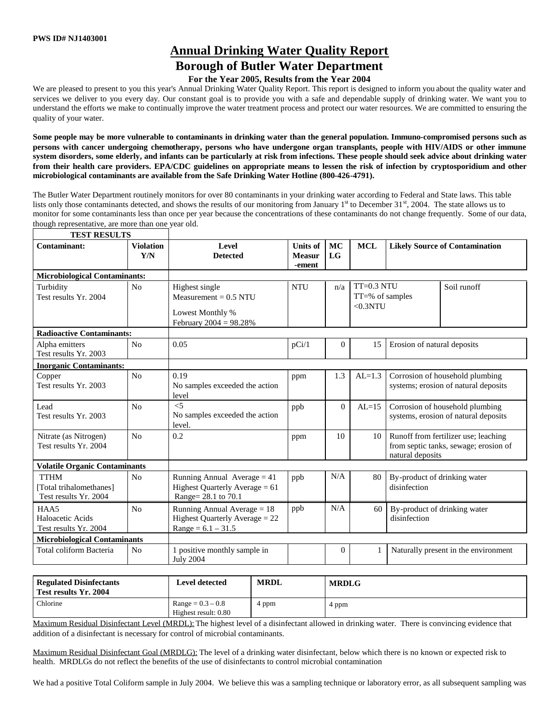**TEST RESULTS** 

## **Annual Drinking Water Quality Report**

# **Borough of Butler Water Department**

### **For the Year 2005, Results from the Year 2004**

We are pleased to present to you this year's Annual Drinking Water Quality Report. This report is designed to inform you about the quality water and services we deliver to you every day. Our constant goal is to provide you with a safe and dependable supply of drinking water. We want you to understand the efforts we make to continually improve the water treatment process and protect our water resources. We are committed to ensuring the quality of your water.

**Some people may be more vulnerable to contaminants in drinking water than the general population. Immuno-compromised persons such as persons with cancer undergoing chemotherapy, persons who have undergone organ transplants, people with HIV/AIDS or other immune system disorders, some elderly, and infants can be particularly at risk from infections. These people should seek advice about drinking water from their health care providers. EPA/CDC guidelines on appropriate means to lessen the risk of infection by cryptosporidium and other microbiological contaminants are available from the Safe Drinking Water Hotline (800-426-4791).**

The Butler Water Department routinely monitors for over 80 contaminants in your drinking water according to Federal and State laws. This table lists only those contaminants detected, and shows the results of our monitoring from January 1<sup>st</sup> to December 31<sup>st</sup>, 2004. The state allows us to monitor for some contaminants less than once per year because the concentrations of these contaminants do not change frequently. Some of our data, though representative, are more than one year old.

| <b>MCL</b><br><b>Units of</b><br>MC<br><b>Violation</b><br>Level<br><b>Likely Source of Contamination</b><br>Y/N<br><b>LG</b><br><b>Detected</b><br><b>Measur</b><br>-ement<br><b>Microbiological Contaminants:</b><br>$TT=0.3 NTU$<br><b>NTU</b><br>Soil runoff<br>N <sub>o</sub><br>Highest single<br>n/a<br>$TT = % of samples$<br>Measurement = $0.5$ NTU<br>$< 0.3$ NTU<br>Lowest Monthly %<br>February 2004 = 98.28%<br><b>Radioactive Contaminants:</b><br>Erosion of natural deposits<br>N <sub>0</sub><br>0.05<br>pCi/1<br>$\Omega$<br>15<br>Test results Yr. 2003<br>0.19<br>1.3<br>Corrosion of household plumbing<br>N <sub>0</sub><br>$AL=1.3$<br>ppm<br>Test results Yr. 2003<br>No samples exceeded the action<br>systems; erosion of natural deposits<br>level<br>$\leq$ 5<br>$\Omega$<br>Corrosion of household plumbing<br>No<br>$AL=15$<br>ppb<br>No samples exceeded the action<br>systems, erosion of natural deposits<br>level.<br>No<br>0.2<br>Nitrate (as Nitrogen)<br>10<br>Runoff from fertilizer use; leaching<br>10<br>ppm<br>Test results Yr. 2004<br>from septic tanks, sewage; erosion of<br>natural deposits<br><b>Volatile Organic Contaminants</b><br>N/A<br><b>TTHM</b><br>Running Annual Average $= 41$<br>By-product of drinking water<br>N <sub>0</sub><br>80<br>ppb<br>Highest Quarterly Average $= 61$<br>disinfection<br>Total trihalomethanes]<br>Test results Yr. 2004<br>Range= 28.1 to 70.1<br>N/A<br>Running Annual Average $= 18$<br>ppb<br>By-product of drinking water<br>HAA5<br>N <sub>0</sub><br>60<br>Highest Quarterly Average $= 22$<br>disinfection<br>Test results Yr. 2004<br>$Range = 6.1 - 31.5$<br><b>Microbiological Contaminants</b><br>Naturally present in the environment | I EST KESULTS                  |                |                              |          |              |  |  |
|---------------------------------------------------------------------------------------------------------------------------------------------------------------------------------------------------------------------------------------------------------------------------------------------------------------------------------------------------------------------------------------------------------------------------------------------------------------------------------------------------------------------------------------------------------------------------------------------------------------------------------------------------------------------------------------------------------------------------------------------------------------------------------------------------------------------------------------------------------------------------------------------------------------------------------------------------------------------------------------------------------------------------------------------------------------------------------------------------------------------------------------------------------------------------------------------------------------------------------------------------------------------------------------------------------------------------------------------------------------------------------------------------------------------------------------------------------------------------------------------------------------------------------------------------------------------------------------------------------------------------------------------------------------------------------------------------------------------------------------------|--------------------------------|----------------|------------------------------|----------|--------------|--|--|
|                                                                                                                                                                                                                                                                                                                                                                                                                                                                                                                                                                                                                                                                                                                                                                                                                                                                                                                                                                                                                                                                                                                                                                                                                                                                                                                                                                                                                                                                                                                                                                                                                                                                                                                                             | Contaminant:                   |                |                              |          |              |  |  |
|                                                                                                                                                                                                                                                                                                                                                                                                                                                                                                                                                                                                                                                                                                                                                                                                                                                                                                                                                                                                                                                                                                                                                                                                                                                                                                                                                                                                                                                                                                                                                                                                                                                                                                                                             |                                |                |                              |          |              |  |  |
|                                                                                                                                                                                                                                                                                                                                                                                                                                                                                                                                                                                                                                                                                                                                                                                                                                                                                                                                                                                                                                                                                                                                                                                                                                                                                                                                                                                                                                                                                                                                                                                                                                                                                                                                             |                                |                |                              |          |              |  |  |
|                                                                                                                                                                                                                                                                                                                                                                                                                                                                                                                                                                                                                                                                                                                                                                                                                                                                                                                                                                                                                                                                                                                                                                                                                                                                                                                                                                                                                                                                                                                                                                                                                                                                                                                                             |                                |                |                              |          |              |  |  |
|                                                                                                                                                                                                                                                                                                                                                                                                                                                                                                                                                                                                                                                                                                                                                                                                                                                                                                                                                                                                                                                                                                                                                                                                                                                                                                                                                                                                                                                                                                                                                                                                                                                                                                                                             | Turbidity                      |                |                              |          |              |  |  |
|                                                                                                                                                                                                                                                                                                                                                                                                                                                                                                                                                                                                                                                                                                                                                                                                                                                                                                                                                                                                                                                                                                                                                                                                                                                                                                                                                                                                                                                                                                                                                                                                                                                                                                                                             | Test results Yr. 2004          |                |                              |          |              |  |  |
|                                                                                                                                                                                                                                                                                                                                                                                                                                                                                                                                                                                                                                                                                                                                                                                                                                                                                                                                                                                                                                                                                                                                                                                                                                                                                                                                                                                                                                                                                                                                                                                                                                                                                                                                             |                                |                |                              |          |              |  |  |
|                                                                                                                                                                                                                                                                                                                                                                                                                                                                                                                                                                                                                                                                                                                                                                                                                                                                                                                                                                                                                                                                                                                                                                                                                                                                                                                                                                                                                                                                                                                                                                                                                                                                                                                                             |                                |                |                              |          |              |  |  |
|                                                                                                                                                                                                                                                                                                                                                                                                                                                                                                                                                                                                                                                                                                                                                                                                                                                                                                                                                                                                                                                                                                                                                                                                                                                                                                                                                                                                                                                                                                                                                                                                                                                                                                                                             |                                |                |                              |          |              |  |  |
|                                                                                                                                                                                                                                                                                                                                                                                                                                                                                                                                                                                                                                                                                                                                                                                                                                                                                                                                                                                                                                                                                                                                                                                                                                                                                                                                                                                                                                                                                                                                                                                                                                                                                                                                             |                                |                |                              |          |              |  |  |
|                                                                                                                                                                                                                                                                                                                                                                                                                                                                                                                                                                                                                                                                                                                                                                                                                                                                                                                                                                                                                                                                                                                                                                                                                                                                                                                                                                                                                                                                                                                                                                                                                                                                                                                                             | Alpha emitters                 |                |                              |          |              |  |  |
|                                                                                                                                                                                                                                                                                                                                                                                                                                                                                                                                                                                                                                                                                                                                                                                                                                                                                                                                                                                                                                                                                                                                                                                                                                                                                                                                                                                                                                                                                                                                                                                                                                                                                                                                             |                                |                |                              |          |              |  |  |
|                                                                                                                                                                                                                                                                                                                                                                                                                                                                                                                                                                                                                                                                                                                                                                                                                                                                                                                                                                                                                                                                                                                                                                                                                                                                                                                                                                                                                                                                                                                                                                                                                                                                                                                                             | <b>Inorganic Contaminants:</b> |                |                              |          |              |  |  |
|                                                                                                                                                                                                                                                                                                                                                                                                                                                                                                                                                                                                                                                                                                                                                                                                                                                                                                                                                                                                                                                                                                                                                                                                                                                                                                                                                                                                                                                                                                                                                                                                                                                                                                                                             | Copper                         |                |                              |          |              |  |  |
|                                                                                                                                                                                                                                                                                                                                                                                                                                                                                                                                                                                                                                                                                                                                                                                                                                                                                                                                                                                                                                                                                                                                                                                                                                                                                                                                                                                                                                                                                                                                                                                                                                                                                                                                             |                                |                |                              |          |              |  |  |
|                                                                                                                                                                                                                                                                                                                                                                                                                                                                                                                                                                                                                                                                                                                                                                                                                                                                                                                                                                                                                                                                                                                                                                                                                                                                                                                                                                                                                                                                                                                                                                                                                                                                                                                                             |                                |                |                              |          |              |  |  |
|                                                                                                                                                                                                                                                                                                                                                                                                                                                                                                                                                                                                                                                                                                                                                                                                                                                                                                                                                                                                                                                                                                                                                                                                                                                                                                                                                                                                                                                                                                                                                                                                                                                                                                                                             | Lead                           |                |                              |          |              |  |  |
|                                                                                                                                                                                                                                                                                                                                                                                                                                                                                                                                                                                                                                                                                                                                                                                                                                                                                                                                                                                                                                                                                                                                                                                                                                                                                                                                                                                                                                                                                                                                                                                                                                                                                                                                             | Test results Yr. 2003          |                |                              |          |              |  |  |
|                                                                                                                                                                                                                                                                                                                                                                                                                                                                                                                                                                                                                                                                                                                                                                                                                                                                                                                                                                                                                                                                                                                                                                                                                                                                                                                                                                                                                                                                                                                                                                                                                                                                                                                                             |                                |                |                              |          |              |  |  |
|                                                                                                                                                                                                                                                                                                                                                                                                                                                                                                                                                                                                                                                                                                                                                                                                                                                                                                                                                                                                                                                                                                                                                                                                                                                                                                                                                                                                                                                                                                                                                                                                                                                                                                                                             |                                |                |                              |          |              |  |  |
|                                                                                                                                                                                                                                                                                                                                                                                                                                                                                                                                                                                                                                                                                                                                                                                                                                                                                                                                                                                                                                                                                                                                                                                                                                                                                                                                                                                                                                                                                                                                                                                                                                                                                                                                             |                                |                |                              |          |              |  |  |
|                                                                                                                                                                                                                                                                                                                                                                                                                                                                                                                                                                                                                                                                                                                                                                                                                                                                                                                                                                                                                                                                                                                                                                                                                                                                                                                                                                                                                                                                                                                                                                                                                                                                                                                                             |                                |                |                              |          |              |  |  |
|                                                                                                                                                                                                                                                                                                                                                                                                                                                                                                                                                                                                                                                                                                                                                                                                                                                                                                                                                                                                                                                                                                                                                                                                                                                                                                                                                                                                                                                                                                                                                                                                                                                                                                                                             |                                |                |                              |          |              |  |  |
|                                                                                                                                                                                                                                                                                                                                                                                                                                                                                                                                                                                                                                                                                                                                                                                                                                                                                                                                                                                                                                                                                                                                                                                                                                                                                                                                                                                                                                                                                                                                                                                                                                                                                                                                             |                                |                |                              |          |              |  |  |
|                                                                                                                                                                                                                                                                                                                                                                                                                                                                                                                                                                                                                                                                                                                                                                                                                                                                                                                                                                                                                                                                                                                                                                                                                                                                                                                                                                                                                                                                                                                                                                                                                                                                                                                                             |                                |                |                              |          |              |  |  |
|                                                                                                                                                                                                                                                                                                                                                                                                                                                                                                                                                                                                                                                                                                                                                                                                                                                                                                                                                                                                                                                                                                                                                                                                                                                                                                                                                                                                                                                                                                                                                                                                                                                                                                                                             |                                |                |                              |          |              |  |  |
|                                                                                                                                                                                                                                                                                                                                                                                                                                                                                                                                                                                                                                                                                                                                                                                                                                                                                                                                                                                                                                                                                                                                                                                                                                                                                                                                                                                                                                                                                                                                                                                                                                                                                                                                             |                                |                |                              |          |              |  |  |
|                                                                                                                                                                                                                                                                                                                                                                                                                                                                                                                                                                                                                                                                                                                                                                                                                                                                                                                                                                                                                                                                                                                                                                                                                                                                                                                                                                                                                                                                                                                                                                                                                                                                                                                                             | Haloacetic Acids               |                |                              |          |              |  |  |
|                                                                                                                                                                                                                                                                                                                                                                                                                                                                                                                                                                                                                                                                                                                                                                                                                                                                                                                                                                                                                                                                                                                                                                                                                                                                                                                                                                                                                                                                                                                                                                                                                                                                                                                                             |                                |                |                              |          |              |  |  |
|                                                                                                                                                                                                                                                                                                                                                                                                                                                                                                                                                                                                                                                                                                                                                                                                                                                                                                                                                                                                                                                                                                                                                                                                                                                                                                                                                                                                                                                                                                                                                                                                                                                                                                                                             |                                |                |                              |          |              |  |  |
|                                                                                                                                                                                                                                                                                                                                                                                                                                                                                                                                                                                                                                                                                                                                                                                                                                                                                                                                                                                                                                                                                                                                                                                                                                                                                                                                                                                                                                                                                                                                                                                                                                                                                                                                             | Total coliform Bacteria        | N <sub>0</sub> | 1 positive monthly sample in | $\Omega$ | $\mathbf{1}$ |  |  |
| <b>July 2004</b>                                                                                                                                                                                                                                                                                                                                                                                                                                                                                                                                                                                                                                                                                                                                                                                                                                                                                                                                                                                                                                                                                                                                                                                                                                                                                                                                                                                                                                                                                                                                                                                                                                                                                                                            |                                |                |                              |          |              |  |  |

| <b>Regulated Disinfectants</b><br>Test results Yr. 2004 | Level detected                              | <b>MRDL</b> | <b>MRDLG</b> |
|---------------------------------------------------------|---------------------------------------------|-------------|--------------|
| Chlorine                                                | $Range = 0.3 - 0.8$<br>Highest result: 0.80 | ppm         | 4 ppm        |

Maximum Residual Disinfectant Level (MRDL): The highest level of a disinfectant allowed in drinking water. There is convincing evidence that addition of a disinfectant is necessary for control of microbial contaminants.

Maximum Residual Disinfectant Goal (MRDLG): The level of a drinking water disinfectant, below which there is no known or expected risk to health. MRDLGs do not reflect the benefits of the use of disinfectants to control microbial contamination

We had a positive Total Coliform sample in July 2004. We believe this was a sampling technique or laboratory error, as all subsequent sampling was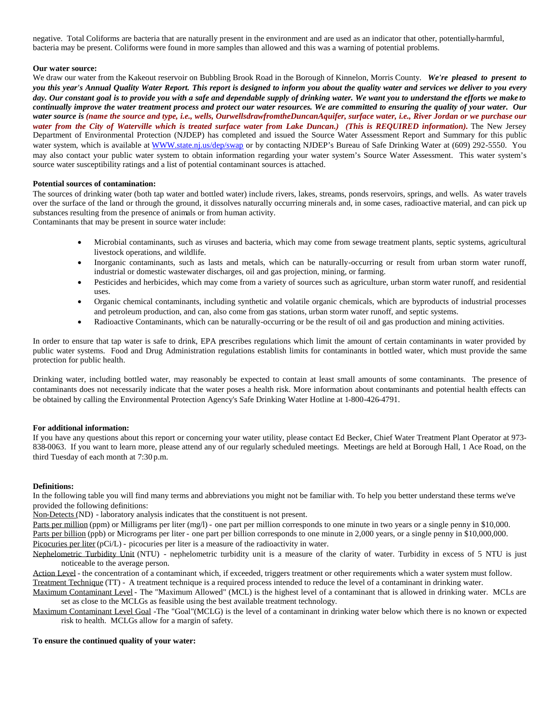negative. Total Coliforms are bacteria that are naturally present in the environment and are used as an indicator that other, potentially-harmful, bacteria may be present. Coliforms were found in more samples than allowed and this was a warning of potential problems.

#### **Our water source:**

We draw our water from the Kakeout reservoir on Bubbling Brook Road in the Borough of Kinnelon, Morris County. *We're pleased to present to you this year's Annual Quality Water Report. This report is designed to inform you about the quality water and services we deliver to you every day. Our constant goal is to provide you with a safe and dependable supply of drinking water. We want you to understand the efforts we make to continually improve the water treatment process and protect our water resources. We are committed to ensuring the quality of your water. Our water source is (name the source and type, i.e., wells, OurwellsdrawfromtheDuncanAquifer, surface water, i.e., River Jordan or we purchase our water from the City of Waterville which is treated surface water from Lake Duncan.) (This is REQUIRED information).* The New Jersey Department of Environmental Protection (NJDEP) has completed and issued the Source Water Assessment Report and Summary for this public water system, which is available at WWW.state.nj.us/dep/swap or by contacting NJDEP's Bureau of Safe Drinking Water at (609) 292-5550. You may also contact your public water system to obtain information regarding your water system's Source Water Assessment. This water system's source water susceptibility ratings and a list of potential contaminant sources is attached.

#### **Potential sources of contamination:**

The sources of drinking water (both tap water and bottled water) include rivers, lakes, streams, ponds reservoirs, springs, and wells. As water travels over the surface of the land or through the ground, it dissolves naturally occurring minerals and, in some cases, radioactive material, and can pick up substances resulting from the presence of animals or from human activity.

Contaminants that may be present in source water include:

- Microbial contaminants, such as viruses and bacteria, which may come from sewage treatment plants, septic systems, agricultural livestock operations, and wildlife.
- Inorganic contaminants, such as lasts and metals, which can be naturally-occurring or result from urban storm water runoff, industrial or domestic wastewater discharges, oil and gas projection, mining, or farming.
- Pesticides and herbicides, which may come from a variety of sources such as agriculture, urban storm water runoff, and residential uses.
- Organic chemical contaminants, including synthetic and volatile organic chemicals, which are byproducts of industrial processes and petroleum production, and can, also come from gas stations, urban storm water runoff, and septic systems.
- Radioactive Contaminants, which can be naturally-occurring or be the result of oil and gas production and mining activities.

In order to ensure that tap water is safe to drink, EPA prescribes regulations which limit the amount of certain contaminants in water provided by public water systems. Food and Drug Administration regulations establish limits for contaminants in bottled water, which must provide the same protection for public health.

Drinking water, including bottled water, may reasonably be expected to contain at least small amounts of some contaminants. The presence of contaminants does not necessarily indicate that the water poses a health risk. More information about contaminants and potential health effects can be obtained by calling the Environmental Protection Agency's Safe Drinking Water Hotline at 1-800-426-4791.

#### **For additional information:**

If you have any questions about this report or concerning your water utility, please contact Ed Becker, Chief Water Treatment Plant Operator at 973- 838-0063. If you want to learn more, please attend any of our regularly scheduled meetings. Meetings are held at Borough Hall, 1 Ace Road, on the third Tuesday of each month at 7:30 p.m.

#### **Definitions:**

In the following table you will find many terms and abbreviations you might not be familiar with. To help you better understand these terms we've provided the following definitions:

Non-Detects (ND) - laboratory analysis indicates that the constituent is not present.

Parts per million (ppm) or Milligrams per liter (mg/l) - one part per million corresponds to one minute in two years or a single penny in \$10,000. Parts per billion (ppb) or Micrograms per liter - one part per billion corresponds to one minute in 2,000 years, or a single penny in \$10,000,000. Picocuries per liter (pCi/L) - picocuries per liter is a measure of the radioactivity in water.

Nephelometric Turbidity Unit (NTU) - nephelometric turbidity unit is a measure of the clarity of water. Turbidity in excess of 5 NTU is just noticeable to the average person.

Action Level - the concentration of a contaminant which, if exceeded, triggers treatment or other requirements which a water system must follow. Treatment Technique (TT) - A treatment technique is a required process intended to reduce the level of a contaminant in drinking water.

Maximum Contaminant Level - The "Maximum Allowed" (MCL) is the highest level of a contaminant that is allowed in drinking water. MCLs are set as close to the MCLGs as feasible using the best available treatment technology.

Maximum Contaminant Level Goal -The "Goal"(MCLG) is the level of a contaminant in drinking water below which there is no known or expected risk to health. MCLGs allow for a margin of safety.

#### **To ensure the continued quality of your water:**